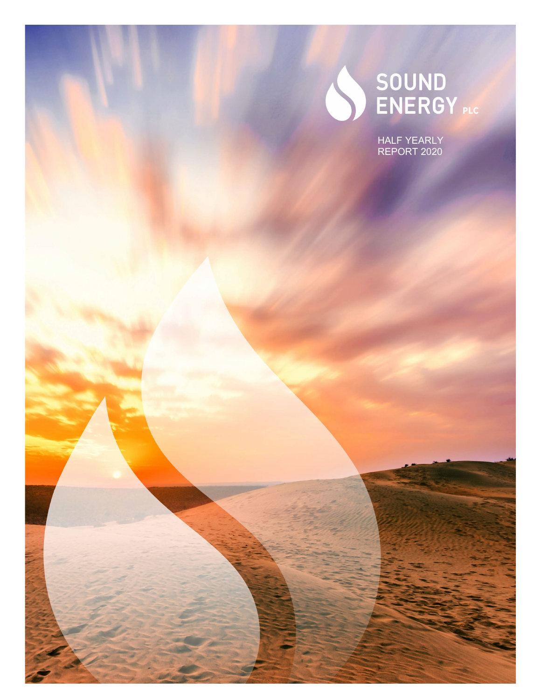

HALF YEARLY REPORT 2020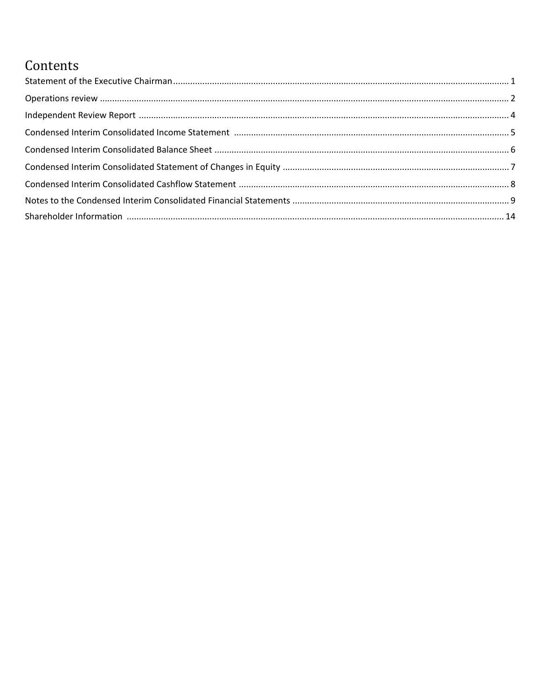# Contents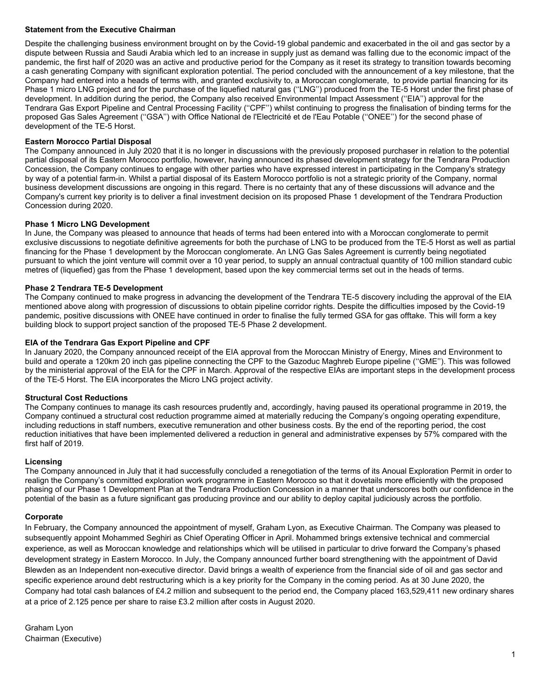### **Statement from the Executive Chairman**

Despite the challenging business environment brought on by the Covid-19 global pandemic and exacerbated in the oil and gas sector by a dispute between Russia and Saudi Arabia which led to an increase in supply just as demand was falling due to the economic impact of the pandemic, the first half of 2020 was an active and productive period for the Company as it reset its strategy to transition towards becoming a cash generating Company with significant exploration potential. The period concluded with the announcement of a key milestone, that the Company had entered into a heads of terms with, and granted exclusivity to, a Moroccan conglomerate, to provide partial financing for its Phase 1 micro LNG project and for the purchase of the liquefied natural gas (''LNG'') produced from the TE-5 Horst under the first phase of development. In addition during the period, the Company also received Environmental Impact Assessment (''EIA'') approval for the Tendrara Gas Export Pipeline and Central Processing Facility (''CPF'') whilst continuing to progress the finalisation of binding terms for the proposed Gas Sales Agreement (''GSA'') with Office National de l'Electricité et de l'Eau Potable (''ONEE'') for the second phase of development of the TE-5 Horst.

#### **Eastern Morocco Partial Disposal**

The Company announced in July 2020 that it is no longer in discussions with the previously proposed purchaser in relation to the potential partial disposal of its Eastern Morocco portfolio, however, having announced its phased development strategy for the Tendrara Production Concession, the Company continues to engage with other parties who have expressed interest in participating in the Company's strategy by way of a potential farm-in. Whilst a partial disposal of its Eastern Morocco portfolio is not a strategic priority of the Company, normal business development discussions are ongoing in this regard. There is no certainty that any of these discussions will advance and the Company's current key priority is to deliver a final investment decision on its proposed Phase 1 development of the Tendrara Production Concession during 2020.

#### **Phase 1 Micro LNG Development**

In June, the Company was pleased to announce that heads of terms had been entered into with a Moroccan conglomerate to permit exclusive discussions to negotiate definitive agreements for both the purchase of LNG to be produced from the TE-5 Horst as well as partial financing for the Phase 1 development by the Moroccan conglomerate. An LNG Gas Sales Agreement is currently being negotiated pursuant to which the joint venture will commit over a 10 year period, to supply an annual contractual quantity of 100 million standard cubic metres of (liquefied) gas from the Phase 1 development, based upon the key commercial terms set out in the heads of terms.

#### **Phase 2 Tendrara TE-5 Development**

The Company continued to make progress in advancing the development of the Tendrara TE-5 discovery including the approval of the EIA mentioned above along with progression of discussions to obtain pipeline corridor rights. Despite the difficulties imposed by the Covid-19 pandemic, positive discussions with ONEE have continued in order to finalise the fully termed GSA for gas offtake. This will form a key building block to support project sanction of the proposed TE-5 Phase 2 development.

#### **EIA of the Tendrara Gas Export Pipeline and CPF**

In January 2020, the Company announced receipt of the EIA approval from the Moroccan Ministry of Energy, Mines and Environment to build and operate a 120km 20 inch gas pipeline connecting the CPF to the Gazoduc Maghreb Europe pipeline (''GME''). This was followed by the ministerial approval of the EIA for the CPF in March. Approval of the respective EIAs are important steps in the development process of the TE-5 Horst. The EIA incorporates the Micro LNG project activity.

#### **Structural Cost Reductions**

The Company continues to manage its cash resources prudently and, accordingly, having paused its operational programme in 2019, the Company continued a structural cost reduction programme aimed at materially reducing the Company's ongoing operating expenditure, including reductions in staff numbers, executive remuneration and other business costs. By the end of the reporting period, the cost reduction initiatives that have been implemented delivered a reduction in general and administrative expenses by 57% compared with the first half of 2019.

#### **Licensing**

The Company announced in July that it had successfully concluded a renegotiation of the terms of its Anoual Exploration Permit in order to realign the Company's committed exploration work programme in Eastern Morocco so that it dovetails more efficiently with the proposed phasing of our Phase 1 Development Plan at the Tendrara Production Concession in a manner that underscores both our confidence in the potential of the basin as a future significant gas producing province and our ability to deploy capital judiciously across the portfolio.

#### **Corporate**

In February, the Company announced the appointment of myself, Graham Lyon, as Executive Chairman. The Company was pleased to subsequently appoint Mohammed Seghiri as Chief Operating Officer in April. Mohammed brings extensive technical and commercial experience, as well as Moroccan knowledge and relationships which will be utilised in particular to drive forward the Company's phased development strategy in Eastern Morocco. In July, the Company announced further board strengthening with the appointment of David Blewden as an Independent non-executive director. David brings a wealth of experience from the financial side of oil and gas sector and specific experience around debt restructuring which is a key priority for the Company in the coming period. As at 30 June 2020, the Company had total cash balances of £4.2 million and subsequent to the period end, the Company placed 163,529,411 new ordinary shares at a price of 2.125 pence per share to raise £3.2 million after costs in August 2020.

Graham Lyon Chairman (Executive)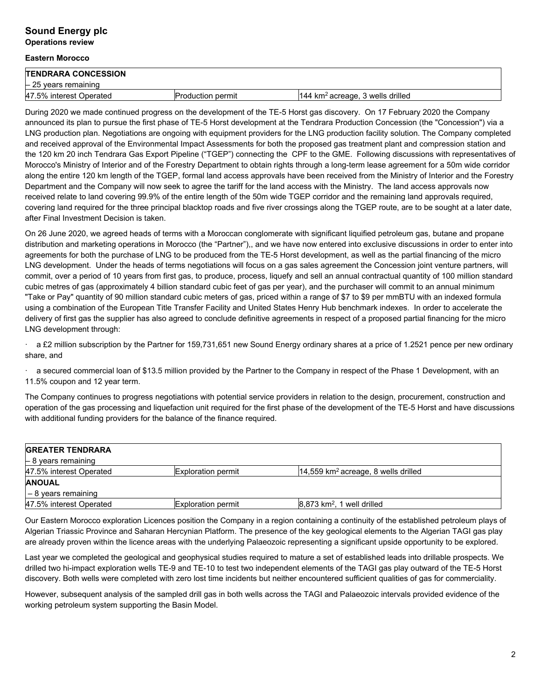**Operations review**

#### **Eastern Morocco**

| <b>TENDRARA CONCESSION</b> |                          |                                              |
|----------------------------|--------------------------|----------------------------------------------|
| $-25$ vears remaining      |                          |                                              |
| 47.5% interest Operated    | <b>Production permit</b> | $144 \mathrm{km}^2$ acreage, 3 wells drilled |

During 2020 we made continued progress on the development of the TE-5 Horst gas discovery. On 17 February 2020 the Company announced its plan to pursue the first phase of TE-5 Horst development at the Tendrara Production Concession (the "Concession") via a LNG production plan. Negotiations are ongoing with equipment providers for the LNG production facility solution. The Company completed and received approval of the Environmental Impact Assessments for both the proposed gas treatment plant and compression station and the 120 km 20 inch Tendrara Gas Export Pipeline ("TGEP") connecting the CPF to the GME. Following discussions with representatives of Morocco's Ministry of Interior and of the Forestry Department to obtain rights through a long-term lease agreement for a 50m wide corridor along the entire 120 km length of the TGEP, formal land access approvals have been received from the Ministry of Interior and the Forestry Department and the Company will now seek to agree the tariff for the land access with the Ministry. The land access approvals now received relate to land covering 99.9% of the entire length of the 50m wide TGEP corridor and the remaining land approvals required, covering land required for the three principal blacktop roads and five river crossings along the TGEP route, are to be sought at a later date, after Final Investment Decision is taken.

On 26 June 2020, we agreed heads of terms with a Moroccan conglomerate with significant liquified petroleum gas, butane and propane distribution and marketing operations in Morocco (the "Partner"),, and we have now entered into exclusive discussions in order to enter into agreements for both the purchase of LNG to be produced from the TE-5 Horst development, as well as the partial financing of the micro LNG development. Under the heads of terms negotiations will focus on a gas sales agreement the Concession joint venture partners, will commit, over a period of 10 years from first gas, to produce, process, liquefy and sell an annual contractual quantity of 100 million standard cubic metres of gas (approximately 4 billion standard cubic feet of gas per year), and the purchaser will commit to an annual minimum "Take or Pay" quantity of 90 million standard cubic meters of gas, priced within a range of \$7 to \$9 per mmBTU with an indexed formula using a combination of the European Title Transfer Facility and United States Henry Hub benchmark indexes. In order to accelerate the delivery of first gas the supplier has also agreed to conclude definitive agreements in respect of a proposed partial financing for the micro LNG development through:

a £2 million subscription by the Partner for 159,731,651 new Sound Energy ordinary shares at a price of 1.2521 pence per new ordinary share, and

· a secured commercial loan of \$13.5 million provided by the Partner to the Company in respect of the Phase 1 Development, with an 11.5% coupon and 12 year term.

The Company continues to progress negotiations with potential service providers in relation to the design, procurement, construction and operation of the gas processing and liquefaction unit required for the first phase of the development of the TE-5 Horst and have discussions with additional funding providers for the balance of the finance required.

| <b>GREATER TENDRARA</b> |                           |                                                   |  |
|-------------------------|---------------------------|---------------------------------------------------|--|
| $-8$ years remaining    |                           |                                                   |  |
| 47.5% interest Operated | <b>Exploration permit</b> | $14,559$ km <sup>2</sup> acreage, 8 wells drilled |  |
| <b>ANOUAL</b>           |                           |                                                   |  |
| l – 8 years remaining   |                           |                                                   |  |
| 47.5% interest Operated | <b>Exploration permit</b> | $8.873$ km <sup>2</sup> . 1 well drilled          |  |

Our Eastern Morocco exploration Licences position the Company in a region containing a continuity of the established petroleum plays of Algerian Triassic Province and Saharan Hercynian Platform. The presence of the key geological elements to the Algerian TAGI gas play are already proven within the licence areas with the underlying Palaeozoic representing a significant upside opportunity to be explored.

Last year we completed the geological and geophysical studies required to mature a set of established leads into drillable prospects. We drilled two hi-impact exploration wells TE-9 and TE-10 to test two independent elements of the TAGI gas play outward of the TE-5 Horst discovery. Both wells were completed with zero lost time incidents but neither encountered sufficient qualities of gas for commerciality.

However, subsequent analysis of the sampled drill gas in both wells across the TAGI and Palaeozoic intervals provided evidence of the working petroleum system supporting the Basin Model.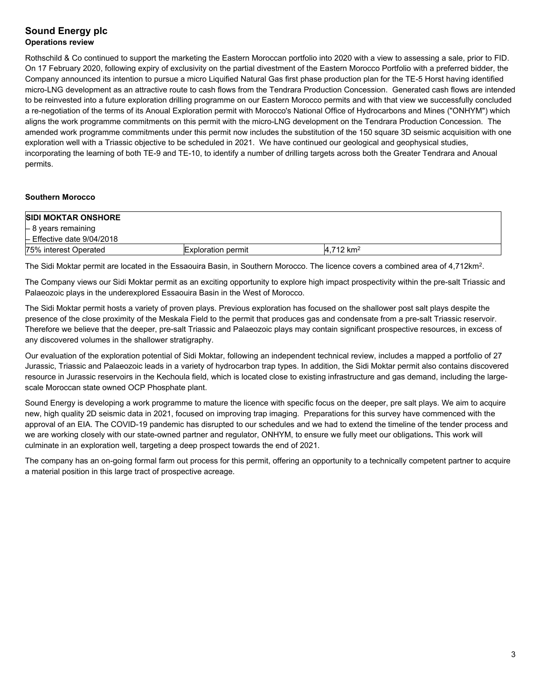### **Sound Energy plc Operations review**

Rothschild & Co continued to support the marketing the Eastern Moroccan portfolio into 2020 with a view to assessing a sale, prior to FID. On 17 February 2020, following expiry of exclusivity on the partial divestment of the Eastern Morocco Portfolio with a preferred bidder, the Company announced its intention to pursue a micro Liquified Natural Gas first phase production plan for the TE-5 Horst having identified micro-LNG development as an attractive route to cash flows from the Tendrara Production Concession. Generated cash flows are intended to be reinvested into a future exploration drilling programme on our Eastern Morocco permits and with that view we successfully concluded a re-negotiation of the terms of its Anoual Exploration permit with Morocco's National Office of Hydrocarbons and Mines ("ONHYM") which aligns the work programme commitments on this permit with the micro-LNG development on the Tendrara Production Concession. The amended work programme commitments under this permit now includes the substitution of the 150 square 3D seismic acquisition with one exploration well with a Triassic objective to be scheduled in 2021. We have continued our geological and geophysical studies, incorporating the learning of both TE-9 and TE-10, to identify a number of drilling targets across both the Greater Tendrara and Anoual permits.

### **Southern Morocco**

| <b>SIDI MOKTAR ONSHORE</b>   |                           |                       |
|------------------------------|---------------------------|-----------------------|
| $-8$ years remaining         |                           |                       |
| $-$ Effective date 9/04/2018 |                           |                       |
| 75% interest Operated        | <b>Exploration permit</b> | 4.712 km <sup>2</sup> |

The Sidi Moktar permit are located in the Essaouira Basin, in Southern Morocco. The licence covers a combined area of 4,712km2.

The Company views our Sidi Moktar permit as an exciting opportunity to explore high impact prospectivity within the pre-salt Triassic and Palaeozoic plays in the underexplored Essaouira Basin in the West of Morocco.

The Sidi Moktar permit hosts a variety of proven plays. Previous exploration has focused on the shallower post salt plays despite the presence of the close proximity of the Meskala Field to the permit that produces gas and condensate from a pre-salt Triassic reservoir. Therefore we believe that the deeper, pre-salt Triassic and Palaeozoic plays may contain significant prospective resources, in excess of any discovered volumes in the shallower stratigraphy.

Our evaluation of the exploration potential of Sidi Moktar, following an independent technical review, includes a mapped a portfolio of 27 Jurassic, Triassic and Palaeozoic leads in a variety of hydrocarbon trap types. In addition, the Sidi Moktar permit also contains discovered resource in Jurassic reservoirs in the Kechoula field, which is located close to existing infrastructure and gas demand, including the largescale Moroccan state owned OCP Phosphate plant.

Sound Energy is developing a work programme to mature the licence with specific focus on the deeper, pre salt plays. We aim to acquire new, high quality 2D seismic data in 2021, focused on improving trap imaging. Preparations for this survey have commenced with the approval of an EIA. The COVID-19 pandemic has disrupted to our schedules and we had to extend the timeline of the tender process and we are working closely with our state-owned partner and regulator, ONHYM, to ensure we fully meet our obligations**.** This work will culminate in an exploration well, targeting a deep prospect towards the end of 2021.

The company has an on-going formal farm out process for this permit, offering an opportunity to a technically competent partner to acquire a material position in this large tract of prospective acreage.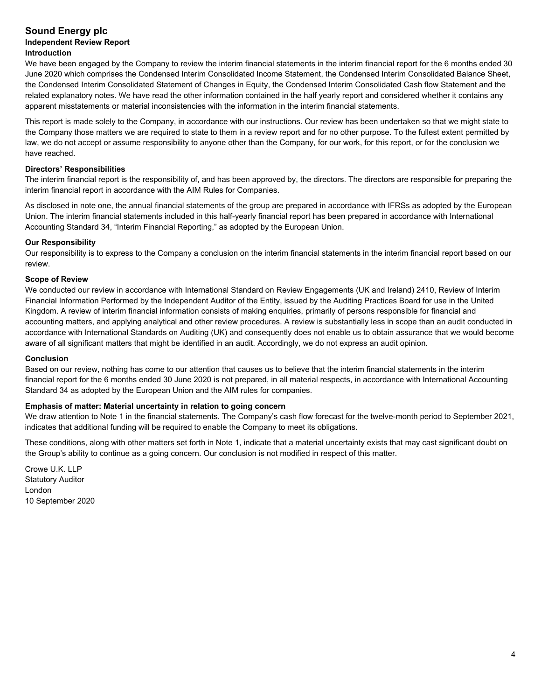### **Sound Energy plc Independent Review Report**

### **Introduction**

We have been engaged by the Company to review the interim financial statements in the interim financial report for the 6 months ended 30 June 2020 which comprises the Condensed Interim Consolidated Income Statement, the Condensed Interim Consolidated Balance Sheet, the Condensed Interim Consolidated Statement of Changes in Equity, the Condensed Interim Consolidated Cash flow Statement and the related explanatory notes. We have read the other information contained in the half yearly report and considered whether it contains any apparent misstatements or material inconsistencies with the information in the interim financial statements.

This report is made solely to the Company, in accordance with our instructions. Our review has been undertaken so that we might state to the Company those matters we are required to state to them in a review report and for no other purpose. To the fullest extent permitted by law, we do not accept or assume responsibility to anyone other than the Company, for our work, for this report, or for the conclusion we have reached.

### **Directors' Responsibilities**

The interim financial report is the responsibility of, and has been approved by, the directors. The directors are responsible for preparing the interim financial report in accordance with the AIM Rules for Companies.

As disclosed in note one, the annual financial statements of the group are prepared in accordance with IFRSs as adopted by the European Union. The interim financial statements included in this half-yearly financial report has been prepared in accordance with International Accounting Standard 34, "Interim Financial Reporting," as adopted by the European Union.

#### **Our Responsibility**

Our responsibility is to express to the Company a conclusion on the interim financial statements in the interim financial report based on our review.

#### **Scope of Review**

We conducted our review in accordance with International Standard on Review Engagements (UK and Ireland) 2410, Review of Interim Financial Information Performed by the Independent Auditor of the Entity, issued by the Auditing Practices Board for use in the United Kingdom. A review of interim financial information consists of making enquiries, primarily of persons responsible for financial and accounting matters, and applying analytical and other review procedures. A review is substantially less in scope than an audit conducted in accordance with International Standards on Auditing (UK) and consequently does not enable us to obtain assurance that we would become aware of all significant matters that might be identified in an audit. Accordingly, we do not express an audit opinion.

#### **Conclusion**

Based on our review, nothing has come to our attention that causes us to believe that the interim financial statements in the interim financial report for the 6 months ended 30 June 2020 is not prepared, in all material respects, in accordance with International Accounting Standard 34 as adopted by the European Union and the AIM rules for companies.

### **Emphasis of matter: Material uncertainty in relation to going concern**

We draw attention to Note 1 in the financial statements. The Company's cash flow forecast for the twelve-month period to September 2021, indicates that additional funding will be required to enable the Company to meet its obligations.

These conditions, along with other matters set forth in Note 1, indicate that a material uncertainty exists that may cast significant doubt on the Group's ability to continue as a going concern. Our conclusion is not modified in respect of this matter.

Crowe U.K. LLP Statutory Auditor London 10 September 2020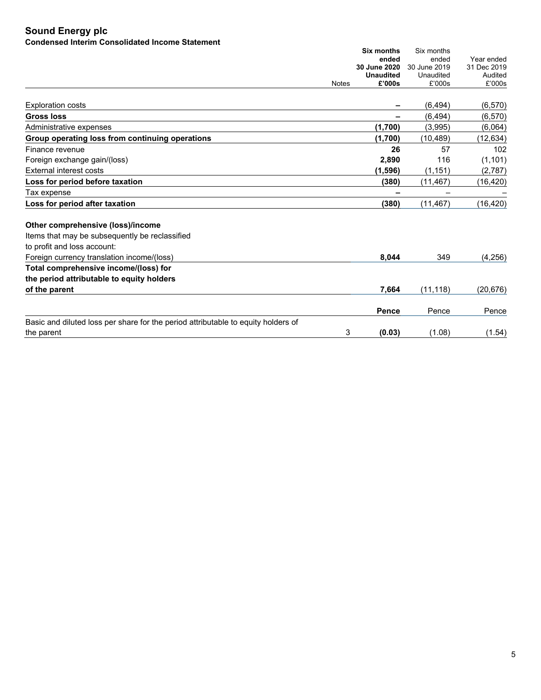### **Sound Energy plc Condensed Interim Consolidated Income Statement**

|                                                                                   |              | <b>Six months</b> | Six months   |                |
|-----------------------------------------------------------------------------------|--------------|-------------------|--------------|----------------|
|                                                                                   |              | ended             | ended        | Year ended     |
|                                                                                   |              | 30 June 2020      | 30 June 2019 | 31 Dec 2019    |
|                                                                                   |              | <b>Unaudited</b>  | Unaudited    | Audited        |
|                                                                                   | <b>Notes</b> | £'000s            | £'000s       | $\pounds'000s$ |
| <b>Exploration costs</b>                                                          |              |                   | (6, 494)     | (6, 570)       |
| <b>Gross loss</b>                                                                 |              |                   | (6, 494)     | (6, 570)       |
| Administrative expenses                                                           |              | (1,700)           | (3,995)      | (6,064)        |
| Group operating loss from continuing operations                                   |              | (1,700)           | (10,489)     | (12, 634)      |
| Finance revenue                                                                   |              | 26                | 57           | 102            |
| Foreign exchange gain/(loss)                                                      |              | 2,890             | 116          | (1, 101)       |
| <b>External interest costs</b>                                                    |              | (1,596)           | (1, 151)     | (2,787)        |
| Loss for period before taxation                                                   |              | (380)             | (11, 467)    | (16, 420)      |
| Tax expense                                                                       |              |                   |              |                |
| Loss for period after taxation                                                    |              | (380)             | (11, 467)    | (16, 420)      |
| Other comprehensive (loss)/income                                                 |              |                   |              |                |
| Items that may be subsequently be reclassified                                    |              |                   |              |                |
| to profit and loss account:                                                       |              |                   |              |                |
| Foreign currency translation income/(loss)                                        |              | 8,044             | 349          | (4, 256)       |
| Total comprehensive income/(loss) for                                             |              |                   |              |                |
| the period attributable to equity holders                                         |              |                   |              |                |
| of the parent                                                                     |              | 7.664             | (11, 118)    | (20, 676)      |
|                                                                                   |              | <b>Pence</b>      | Pence        | Pence          |
| Basic and diluted loss per share for the period attributable to equity holders of |              |                   |              |                |
| the parent                                                                        | 3            | (0.03)            | (1.08)       | (1.54)         |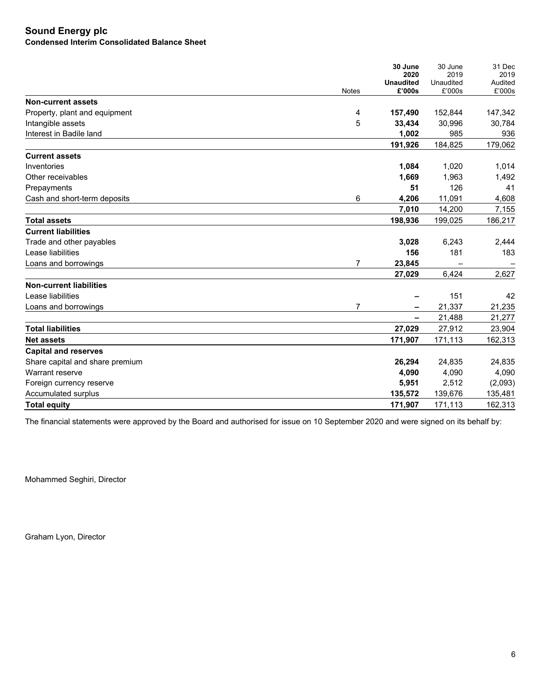### **Sound Energy plc Condensed Interim Consolidated Balance Sheet**

|                                 |                | 30 June                  | 30 June           | 31 Dec          |
|---------------------------------|----------------|--------------------------|-------------------|-----------------|
|                                 |                | 2020<br><b>Unaudited</b> | 2019<br>Unaudited | 2019<br>Audited |
|                                 | Notes          | £'000s                   | £'000s            | £'000s          |
| <b>Non-current assets</b>       |                |                          |                   |                 |
| Property, plant and equipment   | 4              | 157,490                  | 152,844           | 147,342         |
| Intangible assets               | 5              | 33,434                   | 30,996            | 30,784          |
| Interest in Badile land         |                | 1,002                    | 985               | 936             |
|                                 |                | 191,926                  | 184,825           | 179,062         |
| <b>Current assets</b>           |                |                          |                   |                 |
| Inventories                     |                | 1,084                    | 1,020             | 1,014           |
| Other receivables               |                | 1,669                    | 1,963             | 1,492           |
| Prepayments                     |                | 51                       | 126               | 41              |
| Cash and short-term deposits    | 6              | 4,206                    | 11,091            | 4,608           |
|                                 |                | 7,010                    | 14,200            | 7,155           |
| <b>Total assets</b>             |                | 198,936                  | 199,025           | 186,217         |
| <b>Current liabilities</b>      |                |                          |                   |                 |
| Trade and other payables        |                | 3,028                    | 6,243             | 2,444           |
| Lease liabilities               |                | 156                      | 181               | 183             |
| Loans and borrowings            | 7              | 23,845                   |                   |                 |
|                                 |                | 27,029                   | 6,424             | 2,627           |
| <b>Non-current liabilities</b>  |                |                          |                   |                 |
| Lease liabilities               |                |                          | 151               | 42              |
| Loans and borrowings            | $\overline{7}$ |                          | 21,337            | 21,235          |
|                                 |                |                          | 21,488            | 21,277          |
| <b>Total liabilities</b>        |                | 27,029                   | 27,912            | 23,904          |
| <b>Net assets</b>               |                | 171,907                  | 171,113           | 162,313         |
| <b>Capital and reserves</b>     |                |                          |                   |                 |
| Share capital and share premium |                | 26,294                   | 24,835            | 24,835          |
| Warrant reserve                 |                | 4,090                    | 4,090             | 4,090           |
| Foreign currency reserve        |                | 5,951                    | 2,512             | (2,093)         |
| Accumulated surplus             |                | 135,572                  | 139,676           | 135,481         |
| <b>Total equity</b>             |                | 171,907                  | 171,113           | 162,313         |

The financial statements were approved by the Board and authorised for issue on 10 September 2020 and were signed on its behalf by:

Mohammed Seghiri, Director

Graham Lyon, Director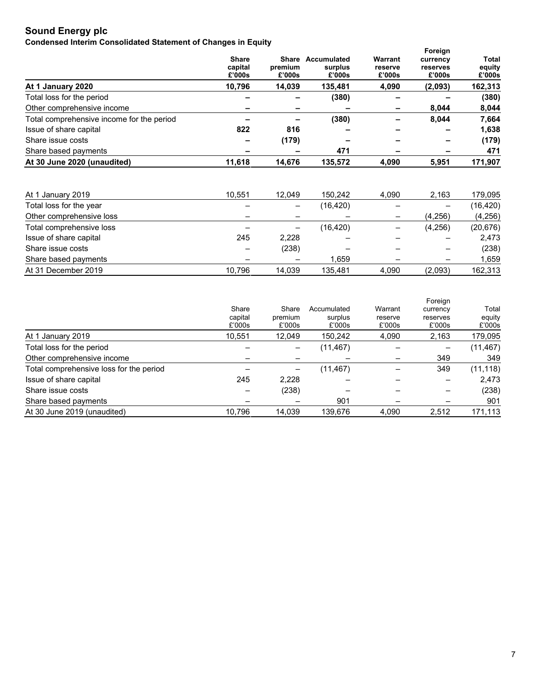**Condensed Interim Consolidated Statement of Changes in Equity**

|                                           | <b>Share</b><br>capital<br>£'000s | Share<br>premium<br>£'000s | Accumulated<br>surplus<br>£'000s | Warrant<br>reserve<br>£'000s | Foreign<br>currency<br>reserves<br>£'000s | Total<br>equity<br>£'000s |
|-------------------------------------------|-----------------------------------|----------------------------|----------------------------------|------------------------------|-------------------------------------------|---------------------------|
| At 1 January 2020                         | 10,796                            | 14,039                     | 135,481                          | 4,090                        | (2,093)                                   | 162,313                   |
| Total loss for the period                 |                                   |                            | (380)                            |                              |                                           | (380)                     |
| Other comprehensive income                |                                   |                            | $\overline{\phantom{0}}$         | $\overline{\phantom{m}}$     | 8,044                                     | 8,044                     |
| Total comprehensive income for the period |                                   |                            | (380)                            | $\overline{\phantom{a}}$     | 8,044                                     | 7,664                     |
| Issue of share capital                    | 822                               | 816                        |                                  | -                            | $\overline{\phantom{a}}$                  | 1,638                     |
| Share issue costs                         |                                   | (179)                      | $\overline{\phantom{0}}$         |                              |                                           | (179)                     |
| Share based payments                      |                                   |                            | 471                              | $\overline{\phantom{0}}$     | $\qquad \qquad$                           | 471                       |
| At 30 June 2020 (unaudited)               | 11,618                            | 14.676                     | 135,572                          | 4,090                        | 5.951                                     | 171,907                   |

| At 1 January 2019        | 10.551 | 12.049 | 150.242  | 4,090                    | 2,163                    | 179,095   |
|--------------------------|--------|--------|----------|--------------------------|--------------------------|-----------|
| Total loss for the year  |        |        | (16,420) |                          |                          | (16,420)  |
| Other comprehensive loss |        |        |          |                          | (4,256)                  | (4,256)   |
| Total comprehensive loss |        |        | (16,420) | —                        | (4,256)                  | (20, 676) |
| Issue of share capital   | 245    | 2.228  |          |                          |                          | 2,473     |
| Share issue costs        |        | (238)  |          | $\overline{\phantom{0}}$ | $\overline{\phantom{0}}$ | (238)     |
| Share based payments     |        |        | l.659    |                          | $\overline{\phantom{0}}$ | 1,659     |
| At 31 December 2019      | 10.796 | 14.039 | 135.481  | 4,090                    | (2,093)                  | 162,313   |

|                                         | Share<br>capital<br>£'000s | Share<br>premium<br>£'000s | Accumulated<br>surplus<br>£'000s | Warrant<br>reserve<br>£'000s | Foreign<br>currency<br>reserves<br>£'000s | Total<br>equity<br>£'000s |
|-----------------------------------------|----------------------------|----------------------------|----------------------------------|------------------------------|-------------------------------------------|---------------------------|
| At 1 January 2019                       | 10,551                     | 12,049                     | 150,242                          | 4,090                        | 2,163                                     | 179,095                   |
| Total loss for the period               |                            |                            | (11,467)                         |                              | $\qquad \qquad$                           | (11, 467)                 |
| Other comprehensive income              |                            |                            |                                  |                              | 349                                       | 349                       |
| Total comprehensive loss for the period |                            |                            | (11, 467)                        |                              | 349                                       | (11, 118)                 |
| Issue of share capital                  | 245                        | 2,228                      |                                  |                              |                                           | 2,473                     |
| Share issue costs                       |                            | (238)                      |                                  |                              |                                           | (238)                     |
| Share based payments                    |                            |                            | 901                              |                              |                                           | 901                       |
| At 30 June 2019 (unaudited)             | 10,796                     | 14,039                     | 139,676                          | 4,090                        | 2,512                                     | 171,113                   |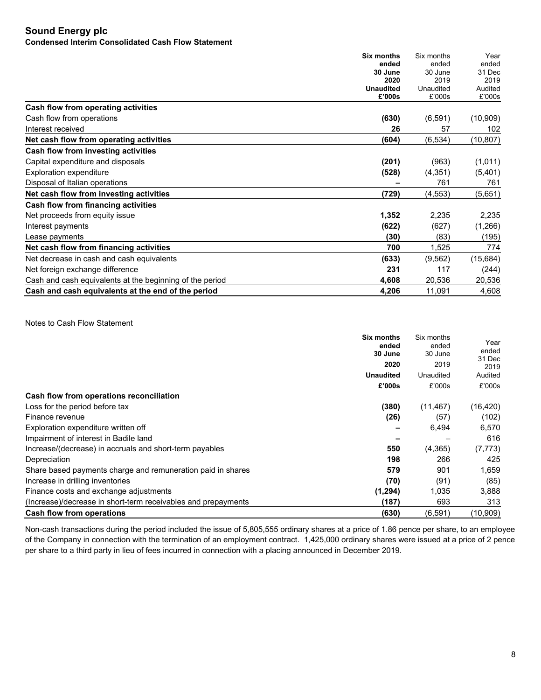### **Sound Energy plc Condensed Interim Consolidated Cash Flow Statement**

|                                                          | <b>Six months</b><br>ended<br>30 June | Six months | Year      |
|----------------------------------------------------------|---------------------------------------|------------|-----------|
|                                                          |                                       | ended      | ended     |
|                                                          |                                       | 30 June    | 31 Dec    |
|                                                          | 2020                                  | 2019       | 2019      |
|                                                          | <b>Unaudited</b>                      | Unaudited  | Audited   |
|                                                          | £'000s                                | £'000s     | £'000s    |
| Cash flow from operating activities                      |                                       |            |           |
| Cash flow from operations                                | (630)                                 | (6, 591)   | (10, 909) |
| Interest received                                        | 26                                    | 57         | 102       |
| Net cash flow from operating activities                  | (604)                                 | (6, 534)   | (10, 807) |
| Cash flow from investing activities                      |                                       |            |           |
| Capital expenditure and disposals                        | (201)                                 | (963)      | (1,011)   |
| <b>Exploration expenditure</b>                           | (528)                                 | (4, 351)   | (5,401)   |
| Disposal of Italian operations                           |                                       | 761        | 761       |
| Net cash flow from investing activities                  | (729)                                 | (4, 553)   | (5,651)   |
| Cash flow from financing activities                      |                                       |            |           |
| Net proceeds from equity issue                           | 1,352                                 | 2,235      | 2,235     |
| Interest payments                                        | (622)                                 | (627)      | (1,266)   |
| Lease payments                                           | (30)                                  | (83)       | (195)     |
| Net cash flow from financing activities                  | 700                                   | 1,525      | 774       |
| Net decrease in cash and cash equivalents                | (633)                                 | (9, 562)   | (15, 684) |
| Net foreign exchange difference                          | 231                                   | 117        | (244)     |
| Cash and cash equivalents at the beginning of the period | 4,608                                 | 20,536     | 20,536    |
| Cash and cash equivalents at the end of the period       | 4,206                                 | 11,091     | 4,608     |

Notes to Cash Flow Statement

| 550<br>198<br>579<br>(70)<br>(1, 294)<br>(187) | (4,365)<br>266<br>901<br>(91)<br>1,035<br>693                         | 616<br>(7, 773)<br>425<br>1,659<br>(85)<br>3,888<br>313 |
|------------------------------------------------|-----------------------------------------------------------------------|---------------------------------------------------------|
|                                                |                                                                       |                                                         |
|                                                |                                                                       |                                                         |
|                                                |                                                                       |                                                         |
|                                                |                                                                       |                                                         |
|                                                |                                                                       |                                                         |
|                                                |                                                                       |                                                         |
|                                                |                                                                       |                                                         |
|                                                | 6,494                                                                 | 6,570                                                   |
| (26)                                           | (57)                                                                  | (102)                                                   |
|                                                | (11, 467)                                                             | (16, 420)                                               |
|                                                |                                                                       |                                                         |
|                                                | £'000s                                                                | £'000s                                                  |
|                                                | Unaudited                                                             | Audited                                                 |
| 2020                                           | 2019                                                                  | 2019                                                    |
|                                                | ended<br>30 June                                                      | Year<br>ended<br>31 Dec                                 |
|                                                | Six months<br>ended<br>30 June<br><b>Unaudited</b><br>£'000s<br>(380) | Six months                                              |

Non-cash transactions during the period included the issue of 5,805,555 ordinary shares at a price of 1.86 pence per share, to an employee of the Company in connection with the termination of an employment contract. 1,425,000 ordinary shares were issued at a price of 2 pence per share to a third party in lieu of fees incurred in connection with a placing announced in December 2019.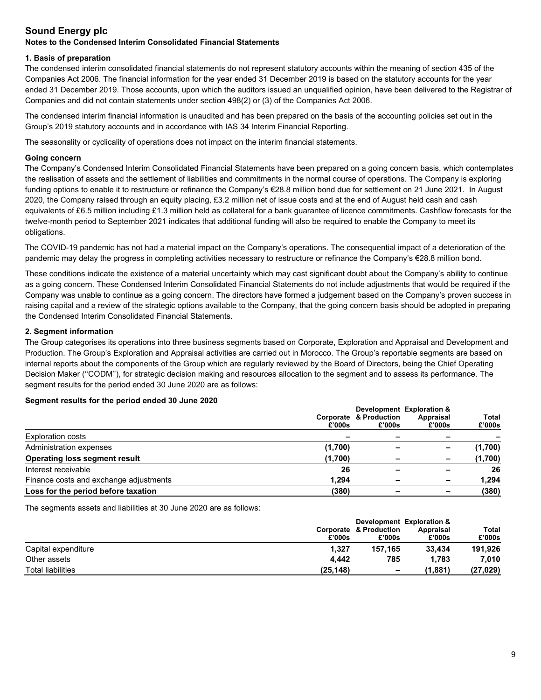### **Notes to the Condensed Interim Consolidated Financial Statements**

### **1. Basis of preparation**

The condensed interim consolidated financial statements do not represent statutory accounts within the meaning of section 435 of the Companies Act 2006. The financial information for the year ended 31 December 2019 is based on the statutory accounts for the year ended 31 December 2019. Those accounts, upon which the auditors issued an unqualified opinion, have been delivered to the Registrar of Companies and did not contain statements under section 498(2) or (3) of the Companies Act 2006.

The condensed interim financial information is unaudited and has been prepared on the basis of the accounting policies set out in the Group's 2019 statutory accounts and in accordance with IAS 34 Interim Financial Reporting.

The seasonality or cyclicality of operations does not impact on the interim financial statements.

### **Going concern**

The Company's Condensed Interim Consolidated Financial Statements have been prepared on a going concern basis, which contemplates the realisation of assets and the settlement of liabilities and commitments in the normal course of operations. The Company is exploring funding options to enable it to restructure or refinance the Company's €28.8 million bond due for settlement on 21 June 2021. In August 2020, the Company raised through an equity placing, £3.2 million net of issue costs and at the end of August held cash and cash equivalents of £6.5 million including £1.3 million held as collateral for a bank guarantee of licence commitments. Cashflow forecasts for the twelve-month period to September 2021 indicates that additional funding will also be required to enable the Company to meet its obligations.

The COVID-19 pandemic has not had a material impact on the Company's operations. The consequential impact of a deterioration of the pandemic may delay the progress in completing activities necessary to restructure or refinance the Company's €28.8 million bond.

These conditions indicate the existence of a material uncertainty which may cast significant doubt about the Company's ability to continue as a going concern. These Condensed Interim Consolidated Financial Statements do not include adjustments that would be required if the Company was unable to continue as a going concern. The directors have formed a judgement based on the Company's proven success in raising capital and a review of the strategic options available to the Company, that the going concern basis should be adopted in preparing the Condensed Interim Consolidated Financial Statements.

### **2. Segment information**

The Group categorises its operations into three business segments based on Corporate, Exploration and Appraisal and Development and Production. The Group's Exploration and Appraisal activities are carried out in Morocco. The Group's reportable segments are based on internal reports about the components of the Group which are regularly reviewed by the Board of Directors, being the Chief Operating Decision Maker (''CODM''), for strategic decision making and resources allocation to the segment and to assess its performance. The segment results for the period ended 30 June 2020 are as follows:

### **Segment results for the period ended 30 June 2020**

|                                        | £'000s                   | Corporate & Production<br>£'000s | Development Exploration &<br>Appraisal<br>£'000s | Total<br>£'000s |
|----------------------------------------|--------------------------|----------------------------------|--------------------------------------------------|-----------------|
| <b>Exploration costs</b>               | $\overline{\phantom{0}}$ |                                  |                                                  |                 |
| Administration expenses                | (1,700)                  | $\overline{\phantom{0}}$         | $\overline{\phantom{a}}$                         | (1,700)         |
| <b>Operating loss segment result</b>   | (1,700)                  | $\overline{\phantom{0}}$         | $\overline{\phantom{a}}$                         | (1,700)         |
| Interest receivable                    | 26                       | $\overline{\phantom{0}}$         |                                                  | 26              |
| Finance costs and exchange adjustments | 1.294                    | $\overline{\phantom{0}}$         | $\overline{\phantom{0}}$                         | 1,294           |
| Loss for the period before taxation    | (380)                    | $\overline{\phantom{0}}$         | $\overline{\phantom{a}}$                         | (380)           |

The segments assets and liabilities at 30 June 2020 are as follows:

|                          |                        |         | Development Exploration & |           |
|--------------------------|------------------------|---------|---------------------------|-----------|
|                          | Corporate & Production |         | Appraisal                 | Total     |
|                          | £'000s                 | £'000s  | £'000s                    | £'000s    |
| Capital expenditure      | 1.327                  | 157.165 | 33.434                    | 191,926   |
| Other assets             | 4.442                  | 785     | 1.783                     | 7.010     |
| <b>Total liabilities</b> | (25, 148)              | -       | (1,881)                   | (27, 029) |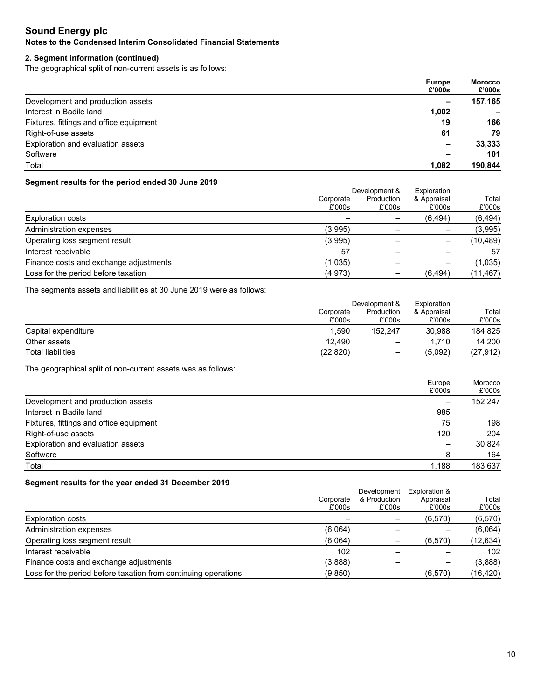### **Notes to the Condensed Interim Consolidated Financial Statements**

### **2. Segment information (continued)**

The geographical split of non-current assets is as follows:

|                                         | <b>Europe</b>   | <b>Morocco</b> |
|-----------------------------------------|-----------------|----------------|
|                                         | £'000s          | £'000s         |
| Development and production assets       | $\qquad \qquad$ | 157,165        |
| Interest in Badile land                 | 1,002           |                |
| Fixtures, fittings and office equipment | 19              | 166            |
| Right-of-use assets                     | 61              | 79             |
| Exploration and evaluation assets       | $\qquad \qquad$ | 33,333         |
| Software                                | $\qquad \qquad$ | 101            |
| Total                                   | 1,082           | 190,844        |

### **Segment results for the period ended 30 June 2019**

|                                        |           | Development & |             |           |  |
|----------------------------------------|-----------|---------------|-------------|-----------|--|
|                                        | Corporate | Production    | & Appraisal | Total     |  |
|                                        | £'000s    | £'000s        | £'000s      | £'000s    |  |
| <b>Exploration costs</b>               |           |               | (6, 494)    | (6, 494)  |  |
| Administration expenses                | (3.995)   |               |             | (3,995)   |  |
| Operating loss segment result          | (3,995)   |               |             | (10, 489) |  |
| Interest receivable                    | 57        | -             |             | 57        |  |
| Finance costs and exchange adjustments | (1,035)   |               |             | (1,035)   |  |
| Loss for the period before taxation    | (4, 973)  |               | (6, 494)    | (11, 467) |  |

The segments assets and liabilities at 30 June 2019 were as follows:

|                          |           | Development & |             | Exploration |       |
|--------------------------|-----------|---------------|-------------|-------------|-------|
|                          | Corporate | Production    | & Appraisal |             | Total |
|                          | £'000s    | £'000s        | £'000s      | £'000s      |       |
| Capital expenditure      | 1.590     | 152.247       | 30.988      | 184,825     |       |
| Other assets             | 12.490    | -             | 1.710       | 14,200      |       |
| <b>Total liabilities</b> | (22, 820) | -             | (5.092)     | (27, 912)   |       |

The geographical split of non-current assets was as follows:

|                                         | Europe<br>£'000s             | Morocco<br>£'000s |
|-----------------------------------------|------------------------------|-------------------|
| Development and production assets       | $\overline{\phantom{m}}$     | 152.247           |
| Interest in Badile land                 | 985                          |                   |
| Fixtures, fittings and office equipment | 75                           | 198               |
| Right-of-use assets                     | 120                          | 204               |
| Exploration and evaluation assets       | $\qquad \qquad \blacksquare$ | 30,824            |
| Software                                | 8                            | 164               |
| Total                                   | 1.188                        | 183.637           |

#### **Segment results for the year ended 31 December 2019**

|                                                                |           | Development  | Exploration &            |           |
|----------------------------------------------------------------|-----------|--------------|--------------------------|-----------|
|                                                                | Corporate | & Production | Appraisal                | Total     |
|                                                                | £'000s    | £'000s       | £'000s                   | £'000s    |
| <b>Exploration costs</b>                                       |           |              | (6, 570)                 | (6, 570)  |
| Administration expenses                                        | (6,064)   |              |                          | (6,064)   |
| Operating loss segment result                                  | (6,064)   |              | (6, 570)                 | (12, 634) |
| Interest receivable                                            | 102       |              |                          | 102       |
| Finance costs and exchange adjustments                         | (3,888)   |              | $\overline{\phantom{0}}$ | (3,888)   |
| Loss for the period before taxation from continuing operations | (9,850)   |              | (6, 570)                 | (16, 420) |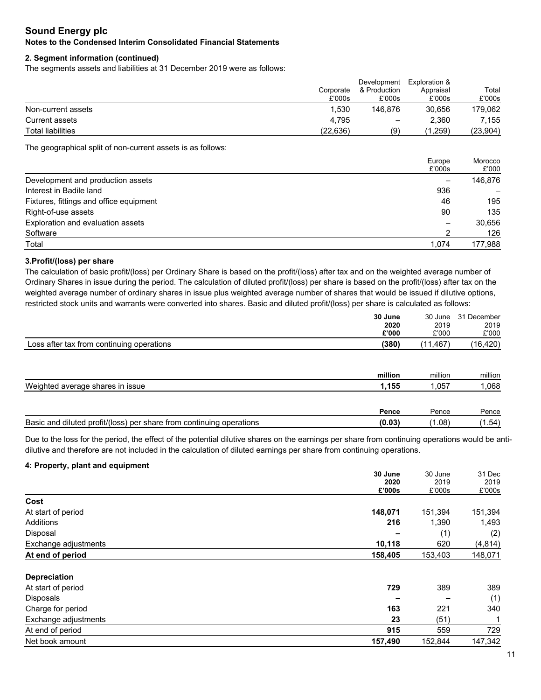### **Sound Energy plc Notes to the Condensed Interim Consolidated Financial Statements**

### **2. Segment information (continued)**

The segments assets and liabilities at 31 December 2019 were as follows:

|                          |           | Development       | Exploration & |          |
|--------------------------|-----------|-------------------|---------------|----------|
|                          | Corporate | & Production      | Appraisal     | Total    |
|                          | £'000s    | £'000s            | £'000s        | £'000s   |
| Non-current assets       | 1.530     | 146.876           | 30.656        | 179,062  |
| Current assets           | 4.795     | $\qquad \qquad -$ | 2,360         | 7,155    |
| <b>Total liabilities</b> | (22, 636) | (9)               | (1,259)       | (23,904) |

The geographical split of non-current assets is as follows:

|                                         | Europe<br>£'000s | Morocco<br>£'000 |
|-----------------------------------------|------------------|------------------|
| Development and production assets       |                  | 146.876          |
| Interest in Badile land                 | 936              |                  |
| Fixtures, fittings and office equipment | 46               | 195              |
| Right-of-use assets                     | 90               | 135              |
| Exploration and evaluation assets       | -                | 30,656           |
| Software                                | າ                | 126              |
| Total                                   | 1.074            | 177,988          |

### **3.Profit/(loss) per share**

The calculation of basic profit/(loss) per Ordinary Share is based on the profit/(loss) after tax and on the weighted average number of Ordinary Shares in issue during the period. The calculation of diluted profit/(loss) per share is based on the profit/(loss) after tax on the weighted average number of ordinary shares in issue plus weighted average number of shares that would be issued if dilutive options, restricted stock units and warrants were converted into shares. Basic and diluted profit/(loss) per share is calculated as follows:

|                                           | 30 June<br>2020<br>£'000 | 30 June<br>2019<br>£'000 | 31 December<br>2019<br>£'000 |
|-------------------------------------------|--------------------------|--------------------------|------------------------------|
| Loss after tax from continuing operations | (380)                    | (11, 467)                | (16, 420)                    |
|                                           | million                  | million                  | million                      |
| Weighted average shares in issue          | 1,155                    | 1,057                    | 1,068                        |
|                                           | Pence                    | Pence                    | Pence                        |

Due to the loss for the period, the effect of the potential dilutive shares on the earnings per share from continuing operations would be antidilutive and therefore are not included in the calculation of diluted earnings per share from continuing operations.

Basic and diluted profit/(loss) per share from continuing operations **(0.03)** (1.08) (1.54)

### **4: Property, plant and equipment**

|                      | 30 June<br>2020 | 30 June | 31 Dec   |
|----------------------|-----------------|---------|----------|
|                      |                 | 2019    | 2019     |
|                      | £'000s          | £'000s  | £'000s   |
| Cost                 |                 |         |          |
| At start of period   | 148,071         | 151,394 | 151,394  |
| Additions            | 216             | 1,390   | 1,493    |
| Disposal             |                 | (1)     | (2)      |
| Exchange adjustments | 10,118          | 620     | (4, 814) |
| At end of period     | 158,405         | 153,403 | 148,071  |
| <b>Depreciation</b>  |                 |         |          |
| At start of period   | 729             | 389     | 389      |
| <b>Disposals</b>     |                 |         | (1)      |
| Charge for period    | 163             | 221     | 340      |
| Exchange adjustments | 23              | (51)    |          |
| At end of period     | 915             | 559     | 729      |
| Net book amount      | 157,490         | 152,844 | 147,342  |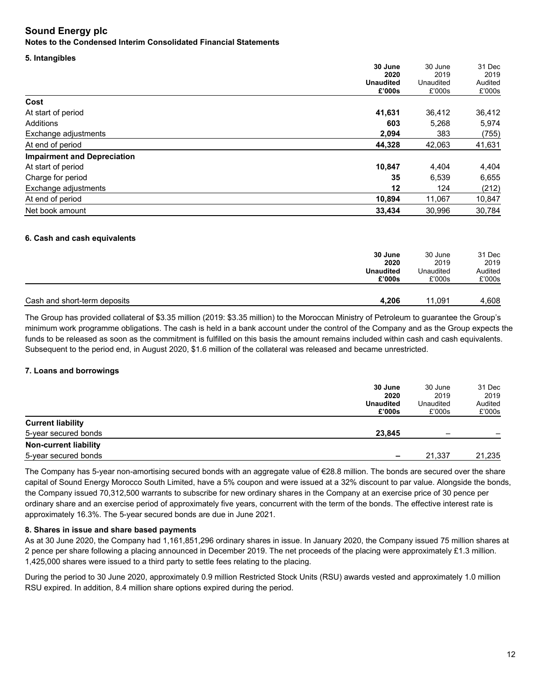**Notes to the Condensed Interim Consolidated Financial Statements**

### **5. Intangibles**

|                                    | 30 June<br>2020<br><b>Unaudited</b><br>£'000s | 30 June<br>2019<br>Unaudited<br>£'000s | 31 Dec<br>2019<br>Audited<br>£'000s |
|------------------------------------|-----------------------------------------------|----------------------------------------|-------------------------------------|
| Cost                               |                                               |                                        |                                     |
| At start of period                 | 41,631                                        | 36,412                                 | 36,412                              |
| Additions                          | 603                                           | 5,268                                  | 5,974                               |
| Exchange adjustments               | 2,094                                         | 383                                    | (755)                               |
| At end of period                   | 44,328                                        | 42,063                                 | 41,631                              |
| <b>Impairment and Depreciation</b> |                                               |                                        |                                     |
| At start of period                 | 10,847                                        | 4,404                                  | 4,404                               |
| Charge for period                  | 35                                            | 6,539                                  | 6,655                               |
| Exchange adjustments               | 12                                            | 124                                    | (212)                               |
| At end of period                   | 10,894                                        | 11,067                                 | 10,847                              |
| Net book amount                    | 33.434                                        | 30.996                                 | 30,784                              |

#### **6. Cash and cash equivalents**

|                              | 30 June          | 30 June   | 31 Dec  |
|------------------------------|------------------|-----------|---------|
|                              | 2020             | 2019      | 2019    |
|                              | <b>Unaudited</b> | Unaudited | Audited |
|                              | £'000s           | £'000s    | £'000s  |
| Cash and short-term deposits | 4,206            | 11.091    | 4,608   |

The Group has provided collateral of \$3.35 million (2019: \$3.35 million) to the Moroccan Ministry of Petroleum to guarantee the Group's minimum work programme obligations. The cash is held in a bank account under the control of the Company and as the Group expects the funds to be released as soon as the commitment is fulfilled on this basis the amount remains included within cash and cash equivalents. Subsequent to the period end, in August 2020, \$1.6 million of the collateral was released and became unrestricted.

### **7. Loans and borrowings**

|                              | 30 June<br>2020            | 30 June<br>2019<br>Unaudited<br>£'000s | 31 Dec<br>2019<br>Audited<br>£'000s |
|------------------------------|----------------------------|----------------------------------------|-------------------------------------|
|                              | <b>Unaudited</b><br>£'000s |                                        |                                     |
| <b>Current liability</b>     |                            |                                        |                                     |
| 5-year secured bonds         | 23.845                     |                                        |                                     |
| <b>Non-current liability</b> |                            |                                        |                                     |
| 5-year secured bonds         | $\overline{\phantom{a}}$   | 21,337                                 | 21,235                              |

The Company has 5-year non-amortising secured bonds with an aggregate value of €28.8 million. The bonds are secured over the share capital of Sound Energy Morocco South Limited, have a 5% coupon and were issued at a 32% discount to par value. Alongside the bonds, the Company issued 70,312,500 warrants to subscribe for new ordinary shares in the Company at an exercise price of 30 pence per ordinary share and an exercise period of approximately five years, concurrent with the term of the bonds. The effective interest rate is approximately 16.3%. The 5-year secured bonds are due in June 2021.

#### **8. Shares in issue and share based payments**

As at 30 June 2020, the Company had 1,161,851,296 ordinary shares in issue. In January 2020, the Company issued 75 million shares at 2 pence per share following a placing announced in December 2019. The net proceeds of the placing were approximately £1.3 million. 1,425,000 shares were issued to a third party to settle fees relating to the placing.

During the period to 30 June 2020, approximately 0.9 million Restricted Stock Units (RSU) awards vested and approximately 1.0 million RSU expired. In addition, 8.4 million share options expired during the period.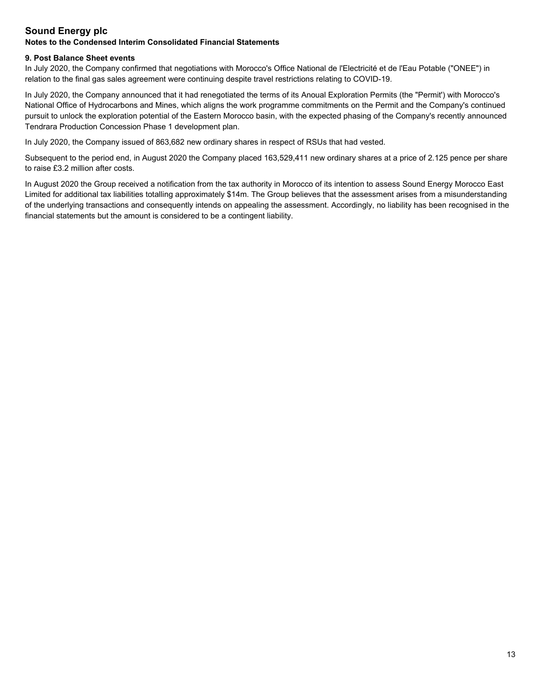### **Notes to the Condensed Interim Consolidated Financial Statements**

### **9. Post Balance Sheet events**

In July 2020, the Company confirmed that negotiations with Morocco's Office National de l'Electricité et de l'Eau Potable ("ONEE") in relation to the final gas sales agreement were continuing despite travel restrictions relating to COVID-19.

In July 2020, the Company announced that it had renegotiated the terms of its Anoual Exploration Permits (the "Permit') with Morocco's National Office of Hydrocarbons and Mines, which aligns the work programme commitments on the Permit and the Company's continued pursuit to unlock the exploration potential of the Eastern Morocco basin, with the expected phasing of the Company's recently announced Tendrara Production Concession Phase 1 development plan.

In July 2020, the Company issued of 863,682 new ordinary shares in respect of RSUs that had vested.

Subsequent to the period end, in August 2020 the Company placed 163,529,411 new ordinary shares at a price of 2.125 pence per share to raise £3.2 million after costs.

In August 2020 the Group received a notification from the tax authority in Morocco of its intention to assess Sound Energy Morocco East Limited for additional tax liabilities totalling approximately \$14m. The Group believes that the assessment arises from a misunderstanding of the underlying transactions and consequently intends on appealing the assessment. Accordingly, no liability has been recognised in the financial statements but the amount is considered to be a contingent liability.